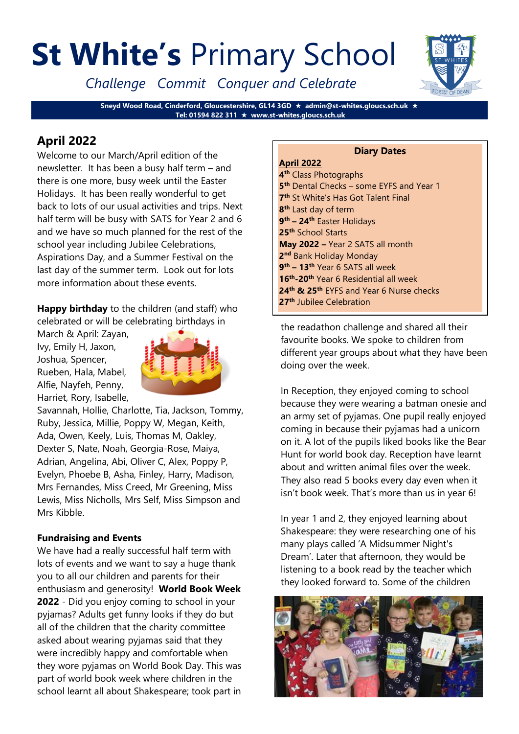# **St White's** Primary School

*Challenge Commit Conquer and Celebrate*

**Sneyd Wood Road, Cinderford, Gloucestershire, GL14 3GD admin@st-whites.gloucs.sch.uk Tel: 01594 822 311 www.st-whites.gloucs.sch.uk**

# **April 2022**

Welcome to our March/April edition of the newsletter. It has been a busy half term – and there is one more, busy week until the Easter Holidays. It has been really wonderful to get back to lots of our usual activities and trips. Next half term will be busy with SATS for Year 2 and 6 and we have so much planned for the rest of the school year including Jubilee Celebrations, Aspirations Day, and a Summer Festival on the last day of the summer term. Look out for lots more information about these events.

**Happy birthday** to the children (and staff) who celebrated or will be celebrating birthdays in

March & April: Zayan, Ivy, Emily H, Jaxon, Joshua, Spencer, Rueben, Hala, Mabel, Alfie, Nayfeh, Penny, Harriet, Rory, Isabelle,



Savannah, Hollie, Charlotte, Tia, Jackson, Tommy, Ruby, Jessica, Millie, Poppy W, Megan, Keith, Ada, Owen, Keely, Luis, Thomas M, Oakley, Dexter S, Nate, Noah, Georgia-Rose, Maiya, Adrian, Angelina, Abi, Oliver C, Alex, Poppy P, Evelyn, Phoebe B, Asha, Finley, Harry, Madison, Mrs Fernandes, Miss Creed, Mr Greening, Miss Lewis, Miss Nicholls, Mrs Self, Miss Simpson and Mrs Kibble.

# **Fundraising and Events**

We have had a really successful half term with lots of events and we want to say a huge thank you to all our children and parents for their enthusiasm and generosity! **World Book Week 2022** - Did you enjoy coming to school in your pyjamas? Adults get funny looks if they do but all of the children that the charity committee asked about wearing pyjamas said that they were incredibly happy and comfortable when they wore pyjamas on World Book Day. This was part of world book week where children in the school learnt all about Shakespeare; took part in

#### **Diary Dates April 2022 4 th** Class Photographs **5 th** Dental Checks – some EYFS and Year 1 **7 th** St White's Has Got Talent Final **8 th** Last day of term **9 th – 24th** Easter Holidays **25th** School Starts **May 2022 –** Year 2 SATS all month **2 nd** Bank Holiday Monday **9 th – 13th** Year 6 SATS all week **16th -20th** Year 6 Residential all week **24th & 25th** EYFS and Year 6 Nurse checks **27th** Jubilee Celebration

the readathon challenge and shared all their favourite books. We spoke to children from different year groups about what they have been doing over the week.

In Reception, they enjoyed coming to school because they were wearing a batman onesie and an army set of pyjamas. One pupil really enjoyed coming in because their pyjamas had a unicorn on it. A lot of the pupils liked books like the Bear Hunt for world book day. Reception have learnt about and written animal files over the week. They also read 5 books every day even when it isn't book week. That's more than us in year 6!

In year 1 and 2, they enjoyed learning about Shakespeare: they were researching one of his many plays called 'A Midsummer Night's Dream'. Later that afternoon, they would be listening to a book read by the teacher which they looked forward to. Some of the children



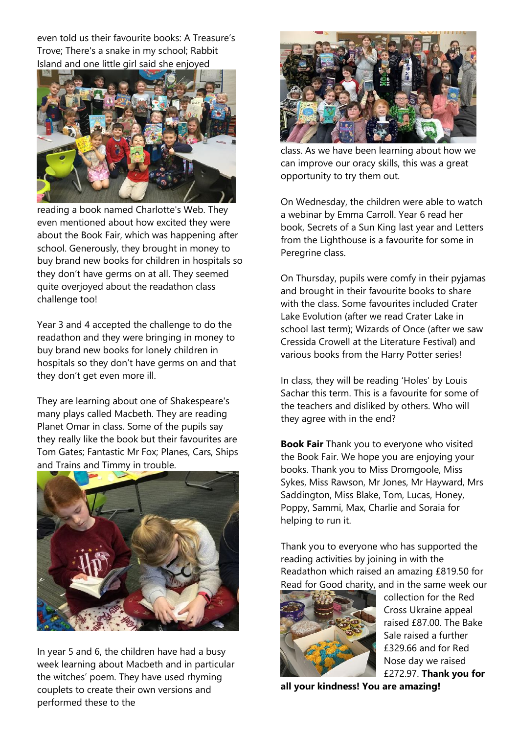even told us their favourite books: A Treasure's Trove; There's a snake in my school; Rabbit Island and one little girl said she enjoyed



reading a book named Charlotte's Web. They even mentioned about how excited they were about the Book Fair, which was happening after school. Generously, they brought in money to buy brand new books for children in hospitals so they don't have germs on at all. They seemed quite overjoyed about the readathon class challenge too!

Year 3 and 4 accepted the challenge to do the readathon and they were bringing in money to buy brand new books for lonely children in hospitals so they don't have germs on and that they don't get even more ill.

They are learning about one of Shakespeare's many plays called Macbeth. They are reading Planet Omar in class. Some of the pupils say they really like the book but their favourites are Tom Gates; Fantastic Mr Fox; Planes, Cars, Ships and Trains and Timmy in trouble.



In year 5 and 6, the children have had a busy week learning about Macbeth and in particular the witches' poem. They have used rhyming couplets to create their own versions and performed these to the



class. As we have been learning about how we can improve our oracy skills, this was a great opportunity to try them out.

On Wednesday, the children were able to watch a webinar by Emma Carroll. Year 6 read her book, Secrets of a Sun King last year and Letters from the Lighthouse is a favourite for some in Peregrine class.

On Thursday, pupils were comfy in their pyjamas and brought in their favourite books to share with the class. Some favourites included Crater Lake Evolution (after we read Crater Lake in school last term); Wizards of Once (after we saw Cressida Crowell at the Literature Festival) and various books from the Harry Potter series!

In class, they will be reading 'Holes' by Louis Sachar this term. This is a favourite for some of the teachers and disliked by others. Who will they agree with in the end?

**Book Fair** Thank you to everyone who visited the Book Fair. We hope you are enjoying your books. Thank you to Miss Dromgoole, Miss Sykes, Miss Rawson, Mr Jones, Mr Hayward, Mrs Saddington, Miss Blake, Tom, Lucas, Honey, Poppy, Sammi, Max, Charlie and Soraia for helping to run it.

Thank you to everyone who has supported the reading activities by joining in with the Readathon which raised an amazing £819.50 for Read for Good charity, and in the same week our



collection for the Red Cross Ukraine appeal raised £87.00. The Bake Sale raised a further £329.66 and for Red Nose day we raised £272.97. **Thank you for** 

**all your kindness! You are amazing!**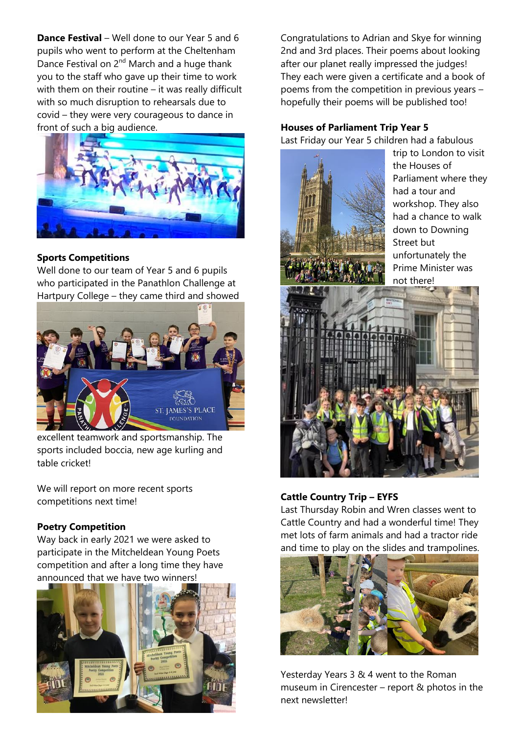**Dance Festival** – Well done to our Year 5 and 6 pupils who went to perform at the Cheltenham Dance Festival on 2<sup>nd</sup> March and a huge thank you to the staff who gave up their time to work with them on their routine – it was really difficult with so much disruption to rehearsals due to covid – they were very courageous to dance in front of such a big audience.



## **Sports Competitions**

Well done to our team of Year 5 and 6 pupils who participated in the Panathlon Challenge at Hartpury College – they came third and showed



excellent teamwork and sportsmanship. The sports included boccia, new age kurling and table cricket!

We will report on more recent sports competitions next time!

#### **Poetry Competition**

Way back in early 2021 we were asked to participate in the Mitcheldean Young Poets competition and after a long time they have announced that we have two winners!



Congratulations to Adrian and Skye for winning 2nd and 3rd places. Their poems about looking after our planet really impressed the judges! They each were given a certificate and a book of poems from the competition in previous years – hopefully their poems will be published too!

#### **Houses of Parliament Trip Year 5**

Last Friday our Year 5 children had a fabulous



trip to London to visit the Houses of Parliament where they had a tour and workshop. They also had a chance to walk down to Downing Street but unfortunately the Prime Minister was not there!



#### **Cattle Country Trip – EYFS**

Last Thursday Robin and Wren classes went to Cattle Country and had a wonderful time! They met lots of farm animals and had a tractor ride and time to play on the slides and trampolines.



Yesterday Years 3 & 4 went to the Roman museum in Cirencester – report & photos in the next newsletter!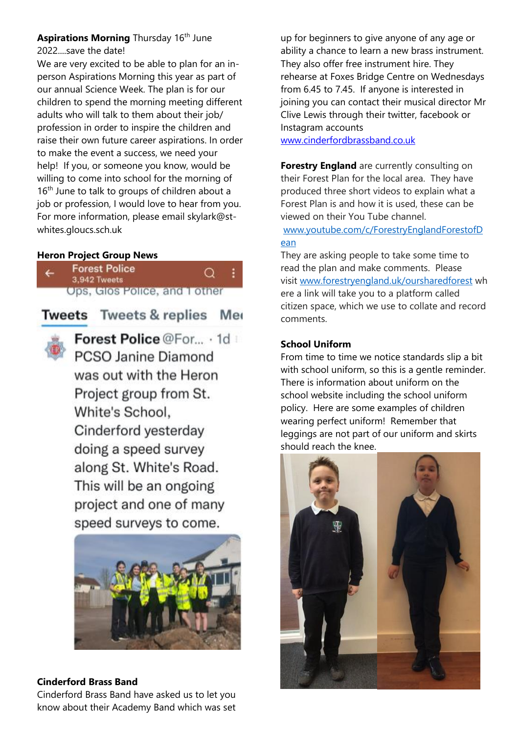## **Aspirations Morning Thursday 16th June** 2022....save the date!

We are very excited to be able to plan for an inperson Aspirations Morning this year as part of our annual Science Week. The plan is for our children to spend the morning meeting different adults who will talk to them about their job/ profession in order to inspire the children and raise their own future career aspirations. In order to make the event a success, we need your help! If you, or someone you know, would be willing to come into school for the morning of  $16<sup>th</sup>$  June to talk to groups of children about a job or profession, I would love to hear from you. For more information, please email skylark@stwhites.gloucs.sch.uk

#### **Heron Project Group News**

| TA. | <b>Forest Police</b><br>3,942 Tweets | . Q |  |
|-----|--------------------------------------|-----|--|
|     | Ups, Glos Police, and 1 other        |     |  |

**Tweets** Tweets & replies Me

![](_page_3_Picture_5.jpeg)

Forest Police @For... . 1d PCSO Janine Diamond was out with the Heron Project group from St. White's School. Cinderford yesterday doing a speed survey along St. White's Road. This will be an ongoing project and one of many speed surveys to come.

![](_page_3_Picture_7.jpeg)

#### **Cinderford Brass Band**

Cinderford Brass Band have asked us to let you know about their Academy Band which was set

up for beginners to give anyone of any age or ability a chance to learn a new brass instrument. They also offer free instrument hire. They rehearse at Foxes Bridge Centre on Wednesdays from 6.45 to 7.45. If anyone is interested in joining you can contact their musical director Mr Clive Lewis through their twitter, facebook or Instagram accounts

[www.cinderfordbrassband.co.uk](http://www.cinderfordbrassband.co.uk/)

**Forestry England** are currently consulting on their Forest Plan for the local area. They have produced three short videos to explain what a Forest Plan is and how it is used, these can be viewed on their You Tube channel.

[www.youtube.com/c/ForestryEnglandForestofD](http://www.youtube.com/c/ForestryEnglandForestofDean) [ean](http://www.youtube.com/c/ForestryEnglandForestofDean)

They are asking people to take some time to read the plan and make comments. Please visit [www.forestryengland.uk/oursharedforest](http://www.forestryengland.uk/oursharedforest) wh ere a link will take you to a platform called citizen space, which we use to collate and record comments.

# **School Uniform**

From time to time we notice standards slip a bit with school uniform, so this is a gentle reminder. There is information about uniform on the school website including the school uniform policy. Here are some examples of children wearing perfect uniform! Remember that leggings are not part of our uniform and skirts should reach the knee.

![](_page_3_Picture_17.jpeg)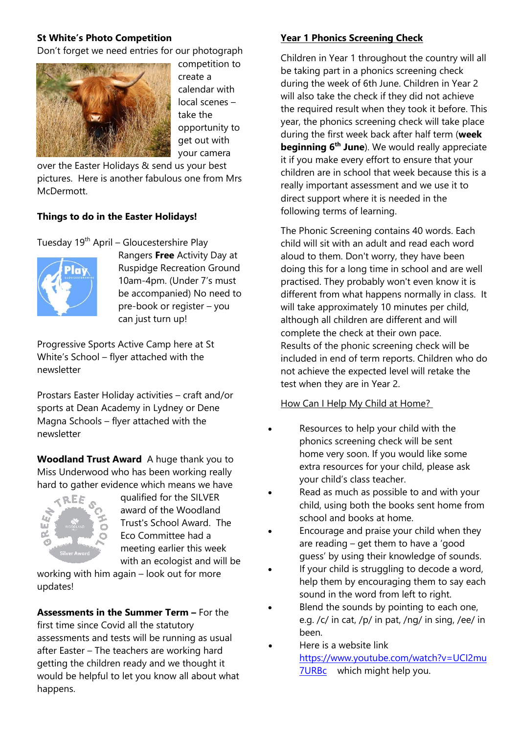#### **St White's Photo Competition**

Don't forget we need entries for our photograph

![](_page_4_Picture_2.jpeg)

competition to create a calendar with local scenes – take the opportunity to get out with your camera

over the Easter Holidays & send us your best pictures. Here is another fabulous one from Mrs McDermott.

#### **Things to do in the Easter Holidays!**

Tuesday 19<sup>th</sup> April – Gloucestershire Play

![](_page_4_Picture_7.jpeg)

Rangers **Free** Activity Day at Ruspidge Recreation Ground 10am-4pm. (Under 7's must be accompanied) No need to pre-book or register – you can just turn up!

Progressive Sports Active Camp here at St White's School – flyer attached with the newsletter

Prostars Easter Holiday activities – craft and/or sports at Dean Academy in Lydney or Dene Magna Schools – flyer attached with the newsletter

**Woodland Trust Award** A huge thank you to Miss Underwood who has been working really hard to gather evidence which means we have

![](_page_4_Picture_12.jpeg)

qualified for the SILVER award of the Woodland Trust's School Award. The Eco Committee had a meeting earlier this week with an ecologist and will be

working with him again – look out for more updates!

**Assessments in the Summer Term –** For the first time since Covid all the statutory assessments and tests will be running as usual after Easter – The teachers are working hard getting the children ready and we thought it would be helpful to let you know all about what happens.

#### **Year 1 Phonics Screening Check**

Children in Year 1 throughout the country will all be taking part in a phonics screening check during the week of 6th June. Children in Year 2 will also take the check if they did not achieve the required result when they took it before. This year, the phonics screening check will take place during the first week back after half term (**week beginning 6th June**). We would really appreciate it if you make every effort to ensure that your children are in school that week because this is a really important assessment and we use it to direct support where it is needed in the following terms of learning.

The Phonic Screening contains 40 words. Each child will sit with an adult and read each word aloud to them. Don't worry, they have been doing this for a long time in school and are well practised. They probably won't even know it is different from what happens normally in class. It will take approximately 10 minutes per child, although all children are different and will complete the check at their own pace. Results of the phonic screening check will be included in end of term reports. Children who do not achieve the expected level will retake the test when they are in Year 2.

#### How Can I Help My Child at Home?

- Resources to help your child with the phonics screening check will be sent home very soon. If you would like some extra resources for your child, please ask your child's class teacher.
- Read as much as possible to and with your child, using both the books sent home from school and books at home.
- Encourage and praise your child when they are reading – get them to have a 'good guess' by using their knowledge of sounds.
- If your child is struggling to decode a word, help them by encouraging them to say each sound in the word from left to right.
- Blend the sounds by pointing to each one, e.g. /c/ in cat, /p/ in pat, /ng/ in sing, /ee/ in been.
- Here is a website link [https://www.youtube.com/watch?v=UCI2mu](https://www.youtube.com/watch?v=UCI2mu7URBc) [7URBc](https://www.youtube.com/watch?v=UCI2mu7URBc) which might help you.